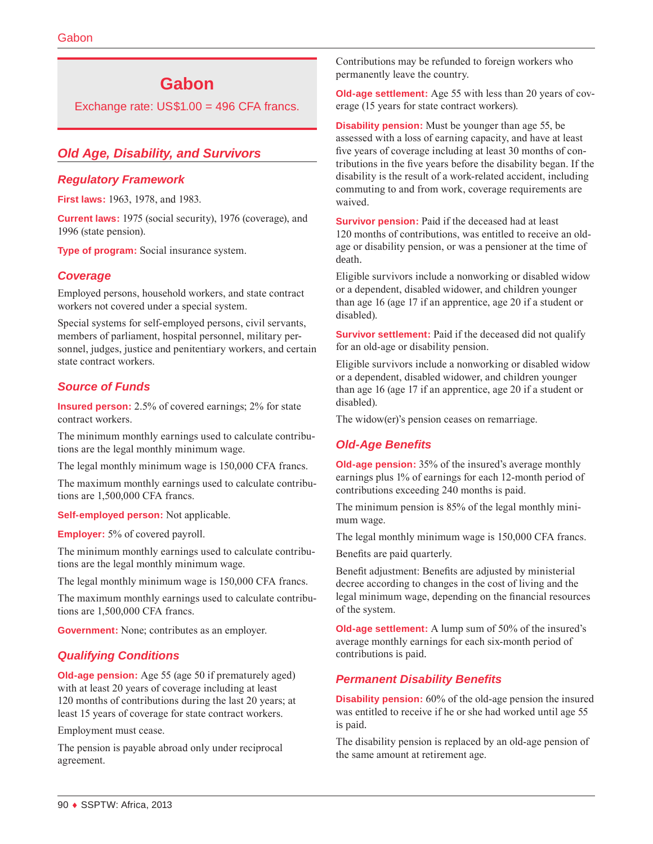# **Gabon**

Exchange rate: US\$1.00 = 496 CFA francs.

# *Old Age, Disability, and Survivors*

### *Regulatory Framework*

**First laws:** 1963, 1978, and 1983.

**Current laws:** 1975 (social security), 1976 (coverage), and 1996 (state pension).

**Type of program:** Social insurance system.

# *Coverage*

Employed persons, household workers, and state contract workers not covered under a special system.

Special systems for self-employed persons, civil servants, members of parliament, hospital personnel, military personnel, judges, justice and penitentiary workers, and certain state contract workers.

# *Source of Funds*

**Insured person:** 2.5% of covered earnings; 2% for state contract workers.

The minimum monthly earnings used to calculate contributions are the legal monthly minimum wage.

The legal monthly minimum wage is 150,000 CFA francs.

The maximum monthly earnings used to calculate contributions are 1,500,000 CFA francs.

**Self-employed person:** Not applicable.

**Employer:** 5% of covered payroll.

The minimum monthly earnings used to calculate contributions are the legal monthly minimum wage.

The legal monthly minimum wage is 150,000 CFA francs.

The maximum monthly earnings used to calculate contributions are 1,500,000 CFA francs.

**Government:** None; contributes as an employer.

# *Qualifying Conditions*

**Old-age pension:** Age 55 (age 50 if prematurely aged) with at least 20 years of coverage including at least 120 months of contributions during the last 20 years; at least 15 years of coverage for state contract workers.

Employment must cease.

The pension is payable abroad only under reciprocal agreement.

Contributions may be refunded to foreign workers who permanently leave the country.

**Old-age settlement:** Age 55 with less than 20 years of coverage (15 years for state contract workers).

**Disability pension:** Must be younger than age 55, be assessed with a loss of earning capacity, and have at least five years of coverage including at least 30 months of contributions in the five years before the disability began. If the disability is the result of a work-related accident, including commuting to and from work, coverage requirements are waived.

**Survivor pension:** Paid if the deceased had at least 120 months of contributions, was entitled to receive an oldage or disability pension, or was a pensioner at the time of death.

Eligible survivors include a nonworking or disabled widow or a dependent, disabled widower, and children younger than age 16 (age 17 if an apprentice, age 20 if a student or disabled).

**Survivor settlement:** Paid if the deceased did not qualify for an old-age or disability pension.

Eligible survivors include a nonworking or disabled widow or a dependent, disabled widower, and children younger than age 16 (age 17 if an apprentice, age 20 if a student or disabled).

The widow(er)'s pension ceases on remarriage.

# *Old-Age Benefits*

**Old-age pension:** 35% of the insured's average monthly earnings plus 1% of earnings for each 12-month period of contributions exceeding 240 months is paid.

The minimum pension is 85% of the legal monthly minimum wage.

The legal monthly minimum wage is 150,000 CFA francs.

Benefits are paid quarterly.

Benefit adjustment: Benefits are adjusted by ministerial decree according to changes in the cost of living and the legal minimum wage, depending on the financial resources of the system.

**Old-age settlement:** A lump sum of 50% of the insured's average monthly earnings for each six-month period of contributions is paid.

# *Permanent Disability Benefits*

**Disability pension:** 60% of the old-age pension the insured was entitled to receive if he or she had worked until age 55 is paid.

The disability pension is replaced by an old-age pension of the same amount at retirement age.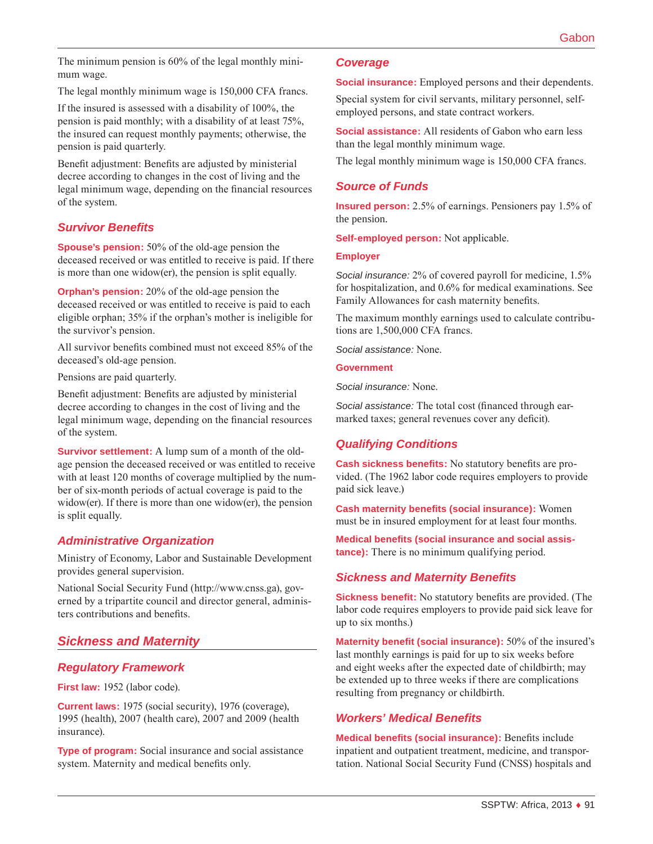The minimum pension is 60% of the legal monthly minimum wage.

The legal monthly minimum wage is 150,000 CFA francs.

If the insured is assessed with a disability of 100%, the pension is paid monthly; with a disability of at least 75%, the insured can request monthly payments; otherwise, the pension is paid quarterly.

Benefit adjustment: Benefits are adjusted by ministerial decree according to changes in the cost of living and the legal minimum wage, depending on the financial resources of the system.

# *Survivor Benefits*

**Spouse's pension:** 50% of the old-age pension the deceased received or was entitled to receive is paid. If there is more than one widow(er), the pension is split equally.

**Orphan's pension:** 20% of the old-age pension the deceased received or was entitled to receive is paid to each eligible orphan; 35% if the orphan's mother is ineligible for the survivor's pension.

All survivor benefits combined must not exceed 85% of the deceased's old-age pension.

Pensions are paid quarterly.

Benefit adjustment: Benefits are adjusted by ministerial decree according to changes in the cost of living and the legal minimum wage, depending on the financial resources of the system.

**Survivor settlement:** A lump sum of a month of the oldage pension the deceased received or was entitled to receive with at least 120 months of coverage multiplied by the number of six-month periods of actual coverage is paid to the widow(er). If there is more than one widow(er), the pension is split equally.

# *Administrative Organization*

Ministry of Economy, Labor and Sustainable Development provides general supervision.

National Social Security Fund [\(http://www.cnss.ga\)](http://www.cnss.ga), governed by a tripartite council and director general, administers contributions and benefits.

# *Sickness and Maternity*

# *Regulatory Framework*

**First law:** 1952 (labor code).

**Current laws:** 1975 (social security), 1976 (coverage), 1995 (health), 2007 (health care), 2007 and 2009 (health insurance).

**Type of program:** Social insurance and social assistance system. Maternity and medical benefits only.

### *Coverage*

**Social insurance:** Employed persons and their dependents.

Special system for civil servants, military personnel, selfemployed persons, and state contract workers.

**Social assistance:** All residents of Gabon who earn less than the legal monthly minimum wage.

The legal monthly minimum wage is 150,000 CFA francs.

### *Source of Funds*

**Insured person:** 2.5% of earnings. Pensioners pay 1.5% of the pension.

**Self-employed person:** Not applicable.

#### **Employer**

*Social insurance:* 2% of covered payroll for medicine, 1.5% for hospitalization, and 0.6% for medical examinations. See Family Allowances for cash maternity benefits.

The maximum monthly earnings used to calculate contributions are 1,500,000 CFA francs.

*Social assistance:* None.

#### **Government**

*Social insurance:* None.

*Social assistance:* The total cost (financed through earmarked taxes; general revenues cover any deficit).

# *Qualifying Conditions*

**Cash sickness benefits:** No statutory benefits are provided. (The 1962 labor code requires employers to provide paid sick leave.)

**Cash maternity benefits (social insurance):** Women must be in insured employment for at least four months.

**Medical benefits (social insurance and social assistance):** There is no minimum qualifying period.

# *Sickness and Maternity Benefits*

**Sickness benefit:** No statutory benefits are provided. (The labor code requires employers to provide paid sick leave for up to six months.)

**Maternity benefit (social insurance):** 50% of the insured's last monthly earnings is paid for up to six weeks before and eight weeks after the expected date of childbirth; may be extended up to three weeks if there are complications resulting from pregnancy or childbirth.

### *Workers' Medical Benefits*

**Medical benefits (social insurance):** Benefits include inpatient and outpatient treatment, medicine, and transportation. National Social Security Fund (CNSS) hospitals and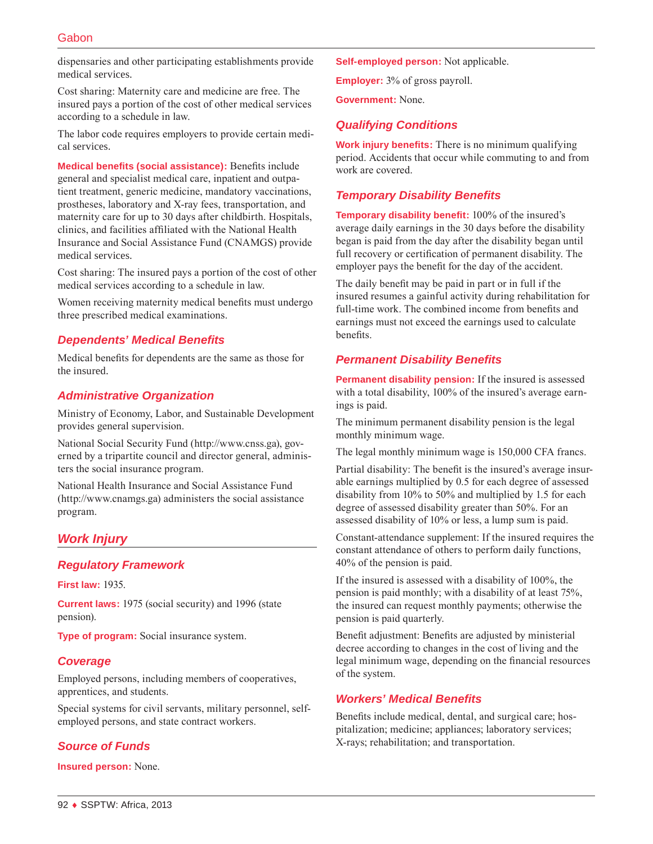dispensaries and other participating establishments provide medical services.

Cost sharing: Maternity care and medicine are free. The insured pays a portion of the cost of other medical services according to a schedule in law.

The labor code requires employers to provide certain medical services.

**Medical benefits (social assistance):** Benefits include general and specialist medical care, inpatient and outpatient treatment, generic medicine, mandatory vaccinations, prostheses, laboratory and X-ray fees, transportation, and maternity care for up to 30 days after childbirth. Hospitals, clinics, and facilities affiliated with the National Health Insurance and Social Assistance Fund (CNAMGS) provide medical services.

Cost sharing: The insured pays a portion of the cost of other medical services according to a schedule in law.

Women receiving maternity medical benefits must undergo three prescribed medical examinations.

# *Dependents' Medical Benefits*

Medical benefits for dependents are the same as those for the insured.

# *Administrative Organization*

Ministry of Economy, Labor, and Sustainable Development provides general supervision.

National Social Security Fund [\(http://www.cnss.ga\)](http://www.cnss.ga), governed by a tripartite council and director general, administers the social insurance program.

National Health Insurance and Social Assistance Fund ([http://www.cnamgs.ga\)](http://www.cnamgs.ga) administers the social assistance program.

# *Work Injury*

### *Regulatory Framework*

**First law:** 1935.

**Current laws:** 1975 (social security) and 1996 (state pension).

**Type of program:** Social insurance system.

# *Coverage*

Employed persons, including members of cooperatives, apprentices, and students.

Special systems for civil servants, military personnel, selfemployed persons, and state contract workers.

# *Source of Funds*

**Insured person:** None.

#### **Self-employed person:** Not applicable.

**Employer:** 3% of gross payroll.

**Government:** None.

# *Qualifying Conditions*

**Work injury benefits:** There is no minimum qualifying period. Accidents that occur while commuting to and from work are covered.

# *Temporary Disability Benefits*

**Temporary disability benefit:** 100% of the insured's average daily earnings in the 30 days before the disability began is paid from the day after the disability began until full recovery or certification of permanent disability. The employer pays the benefit for the day of the accident.

The daily benefit may be paid in part or in full if the insured resumes a gainful activity during rehabilitation for full-time work. The combined income from benefits and earnings must not exceed the earnings used to calculate benefits.

# *Permanent Disability Benefits*

**Permanent disability pension:** If the insured is assessed with a total disability, 100% of the insured's average earnings is paid.

The minimum permanent disability pension is the legal monthly minimum wage.

The legal monthly minimum wage is 150,000 CFA francs.

Partial disability: The benefit is the insured's average insurable earnings multiplied by 0.5 for each degree of assessed disability from 10% to 50% and multiplied by 1.5 for each degree of assessed disability greater than 50%. For an assessed disability of 10% or less, a lump sum is paid.

Constant-attendance supplement: If the insured requires the constant attendance of others to perform daily functions, 40% of the pension is paid.

If the insured is assessed with a disability of 100%, the pension is paid monthly; with a disability of at least 75%, the insured can request monthly payments; otherwise the pension is paid quarterly.

Benefit adjustment: Benefits are adjusted by ministerial decree according to changes in the cost of living and the legal minimum wage, depending on the financial resources of the system.

# *Workers' Medical Benefits*

Benefits include medical, dental, and surgical care; hospitalization; medicine; appliances; laboratory services; X-rays; rehabilitation; and transportation.